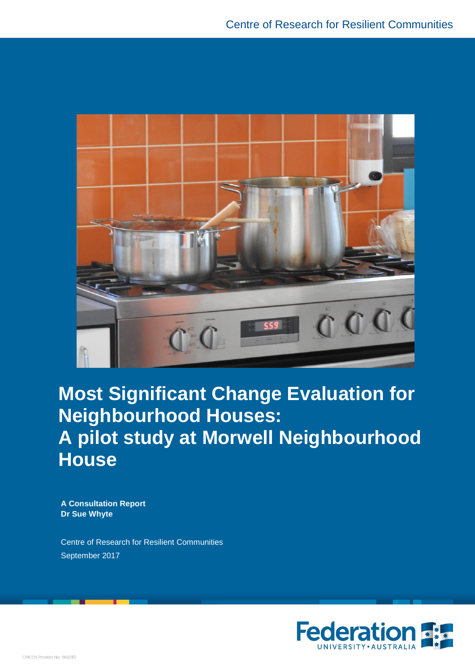

# **Most Significant Change Evaluation for Neighbourhood Houses: A pilot study at Morwell Neighbourhood House**

**A Consultation Report Dr Sue Whyte**

Centre of Research for Resilient Communities September 2017

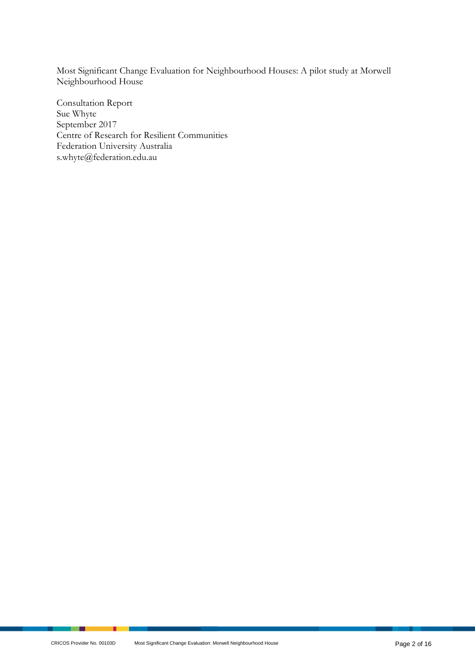Most Significant Change Evaluation for Neighbourhood Houses: A pilot study at Morwell Neighbourhood House

Consultation Report Sue Whyte September 2017 Centre of Research for Resilient Communities Federation University Australia [s.whyte@federation.edu.au](mailto:s.whyte@federation.edu.au)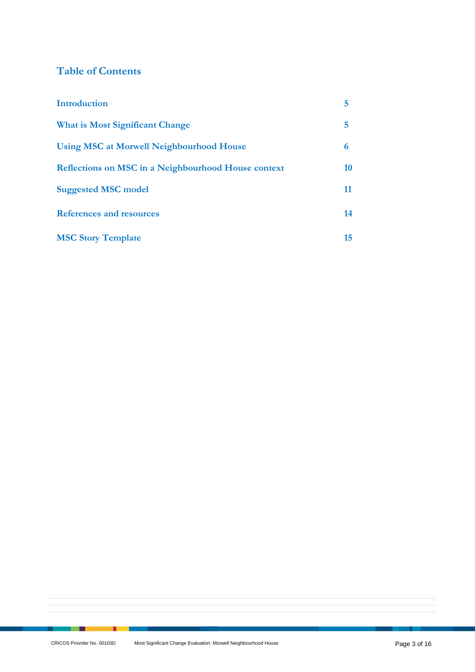# **Table of Contents**

| <b>Introduction</b>                                 | 5  |
|-----------------------------------------------------|----|
| <b>What is Most Significant Change</b>              | 5  |
| <b>Using MSC at Morwell Neighbourhood House</b>     | 6  |
| Reflections on MSC in a Neighbourhood House context | 10 |
| <b>Suggested MSC model</b>                          | 11 |
| <b>References and resources</b>                     | 14 |
| <b>MSC Story Template</b>                           | 15 |

H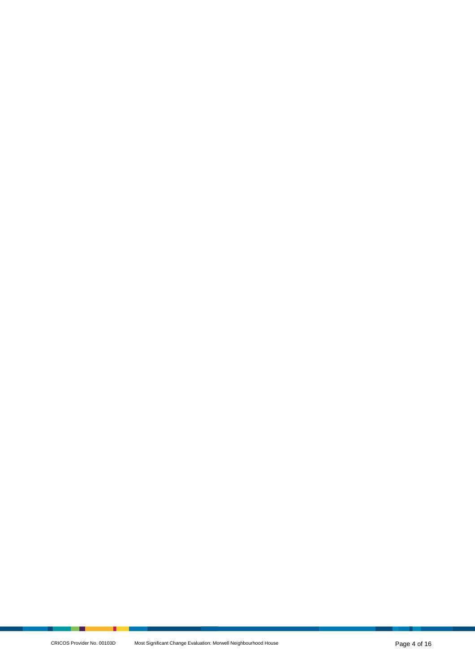т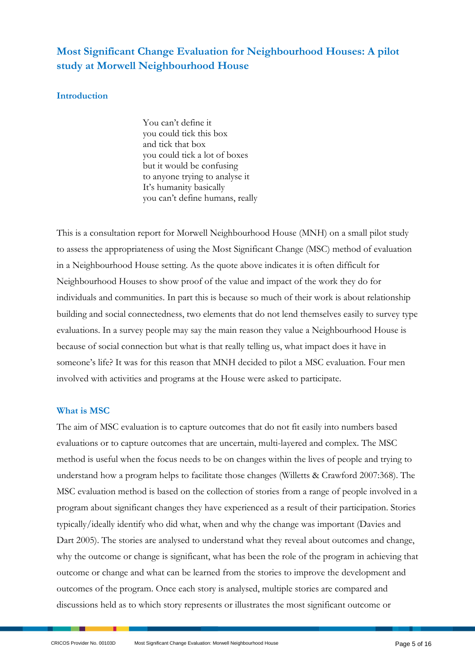# **Most Significant Change Evaluation for Neighbourhood Houses: A pilot study at Morwell Neighbourhood House**

## **Introduction**

You can't define it you could tick this box and tick that box you could tick a lot of boxes but it would be confusing to anyone trying to analyse it It's humanity basically you can't define humans, really

This is a consultation report for Morwell Neighbourhood House (MNH) on a small pilot study to assess the appropriateness of using the Most Significant Change (MSC) method of evaluation in a Neighbourhood House setting. As the quote above indicates it is often difficult for Neighbourhood Houses to show proof of the value and impact of the work they do for individuals and communities. In part this is because so much of their work is about relationship building and social connectedness, two elements that do not lend themselves easily to survey type evaluations. In a survey people may say the main reason they value a Neighbourhood House is because of social connection but what is that really telling us, what impact does it have in someone's life? It was for this reason that MNH decided to pilot a MSC evaluation. Four men involved with activities and programs at the House were asked to participate.

#### **What is MSC**

The aim of MSC evaluation is to capture outcomes that do not fit easily into numbers based evaluations or to capture outcomes that are uncertain, multi-layered and complex. The MSC method is useful when the focus needs to be on changes within the lives of people and trying to understand how a program helps to facilitate those changes (Willetts & Crawford 2007:368). The MSC evaluation method is based on the collection of stories from a range of people involved in a program about significant changes they have experienced as a result of their participation. Stories typically/ideally identify who did what, when and why the change was important (Davies and Dart 2005). The stories are analysed to understand what they reveal about outcomes and change, why the outcome or change is significant, what has been the role of the program in achieving that outcome or change and what can be learned from the stories to improve the development and outcomes of the program. Once each story is analysed, multiple stories are compared and discussions held as to which story represents or illustrates the most significant outcome or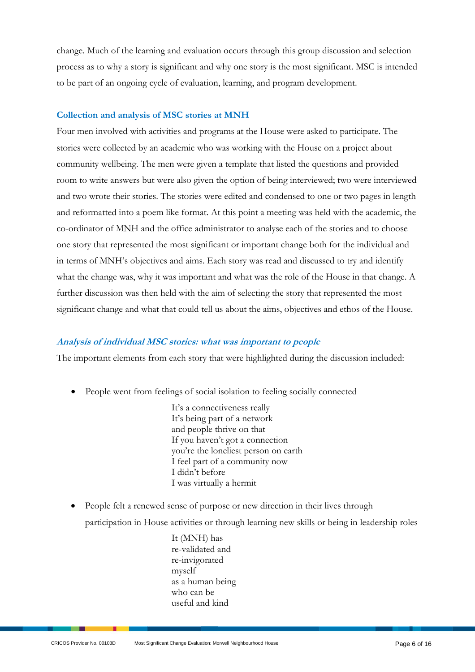change. Much of the learning and evaluation occurs through this group discussion and selection process as to why a story is significant and why one story is the most significant. MSC is intended to be part of an ongoing cycle of evaluation, learning, and program development.

#### **Collection and analysis of MSC stories at MNH**

Four men involved with activities and programs at the House were asked to participate. The stories were collected by an academic who was working with the House on a project about community wellbeing. The men were given a template that listed the questions and provided room to write answers but were also given the option of being interviewed; two were interviewed and two wrote their stories. The stories were edited and condensed to one or two pages in length and reformatted into a poem like format. At this point a meeting was held with the academic, the co-ordinator of MNH and the office administrator to analyse each of the stories and to choose one story that represented the most significant or important change both for the individual and in terms of MNH's objectives and aims. Each story was read and discussed to try and identify what the change was, why it was important and what was the role of the House in that change. A further discussion was then held with the aim of selecting the story that represented the most significant change and what that could tell us about the aims, objectives and ethos of the House.

#### **Analysis of individual MSC stories: what was important to people**

The important elements from each story that were highlighted during the discussion included:

• People went from feelings of social isolation to feeling socially connected

It's a connectiveness really It's being part of a network and people thrive on that If you haven't got a connection you're the loneliest person on earth I feel part of a community now I didn't before I was virtually a hermit

 People felt a renewed sense of purpose or new direction in their lives through participation in House activities or through learning new skills or being in leadership roles

> It (MNH) has re-validated and re-invigorated myself as a human being who can be useful and kind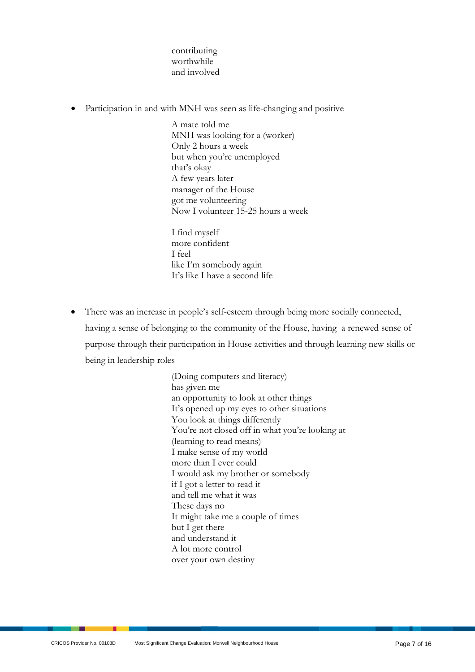contributing worthwhile and involved

Participation in and with MNH was seen as life-changing and positive

A mate told me MNH was looking for a (worker) Only 2 hours a week but when you're unemployed that's okay A few years later manager of the House got me volunteering Now I volunteer 15-25 hours a week

I find myself more confident I feel like I'm somebody again It's like I have a second life

 There was an increase in people's self-esteem through being more socially connected, having a sense of belonging to the community of the House, having a renewed sense of purpose through their participation in House activities and through learning new skills or being in leadership roles

> (Doing computers and literacy) has given me an opportunity to look at other things It's opened up my eyes to other situations You look at things differently You're not closed off in what you're looking at (learning to read means) I make sense of my world more than I ever could I would ask my brother or somebody if I got a letter to read it and tell me what it was These days no It might take me a couple of times but I get there and understand it A lot more control over your own destiny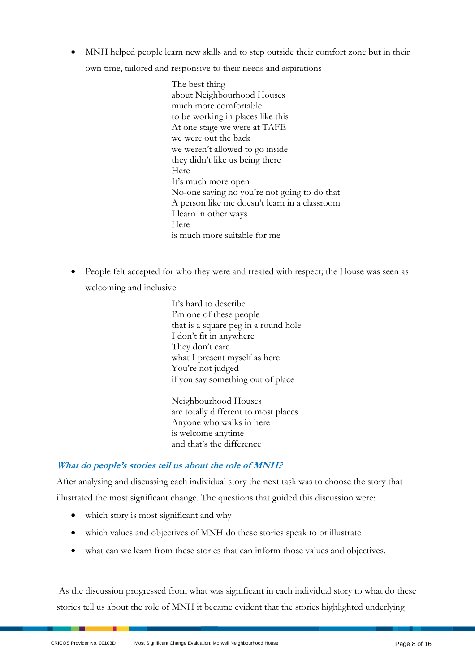MNH helped people learn new skills and to step outside their comfort zone but in their own time, tailored and responsive to their needs and aspirations

> The best thing about Neighbourhood Houses much more comfortable to be working in places like this At one stage we were at TAFE we were out the back we weren't allowed to go inside they didn't like us being there Here It's much more open No-one saying no you're not going to do that A person like me doesn't learn in a classroom I learn in other ways Here is much more suitable for me

 People felt accepted for who they were and treated with respect; the House was seen as welcoming and inclusive

> It's hard to describe I'm one of these people that is a square peg in a round hole I don't fit in anywhere They don't care what I present myself as here You're not judged if you say something out of place

Neighbourhood Houses are totally different to most places Anyone who walks in here is welcome anytime and that's the difference

#### **What do people's stories tell us about the role of MNH?**

After analysing and discussing each individual story the next task was to choose the story that illustrated the most significant change. The questions that guided this discussion were:

- which story is most significant and why
- which values and objectives of MNH do these stories speak to or illustrate
- what can we learn from these stories that can inform those values and objectives.

As the discussion progressed from what was significant in each individual story to what do these stories tell us about the role of MNH it became evident that the stories highlighted underlying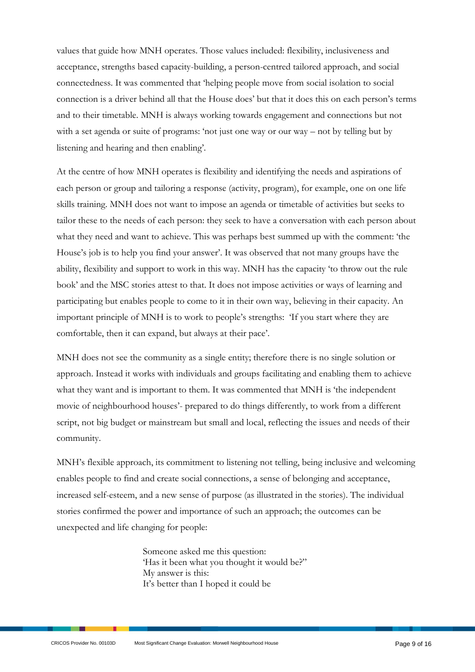values that guide how MNH operates. Those values included: flexibility, inclusiveness and acceptance, strengths based capacity-building, a person-centred tailored approach, and social connectedness. It was commented that 'helping people move from social isolation to social connection is a driver behind all that the House does' but that it does this on each person's terms and to their timetable. MNH is always working towards engagement and connections but not with a set agenda or suite of programs: 'not just one way or our way – not by telling but by listening and hearing and then enabling'.

At the centre of how MNH operates is flexibility and identifying the needs and aspirations of each person or group and tailoring a response (activity, program), for example, one on one life skills training. MNH does not want to impose an agenda or timetable of activities but seeks to tailor these to the needs of each person: they seek to have a conversation with each person about what they need and want to achieve. This was perhaps best summed up with the comment: 'the House's job is to help you find your answer'. It was observed that not many groups have the ability, flexibility and support to work in this way. MNH has the capacity 'to throw out the rule book' and the MSC stories attest to that. It does not impose activities or ways of learning and participating but enables people to come to it in their own way, believing in their capacity. An important principle of MNH is to work to people's strengths: 'If you start where they are comfortable, then it can expand, but always at their pace'.

MNH does not see the community as a single entity; therefore there is no single solution or approach. Instead it works with individuals and groups facilitating and enabling them to achieve what they want and is important to them. It was commented that MNH is 'the independent movie of neighbourhood houses'- prepared to do things differently, to work from a different script, not big budget or mainstream but small and local, reflecting the issues and needs of their community.

MNH's flexible approach, its commitment to listening not telling, being inclusive and welcoming enables people to find and create social connections, a sense of belonging and acceptance, increased self-esteem, and a new sense of purpose (as illustrated in the stories). The individual stories confirmed the power and importance of such an approach; the outcomes can be unexpected and life changing for people:

> Someone asked me this question: 'Has it been what you thought it would be?" My answer is this: It's better than I hoped it could be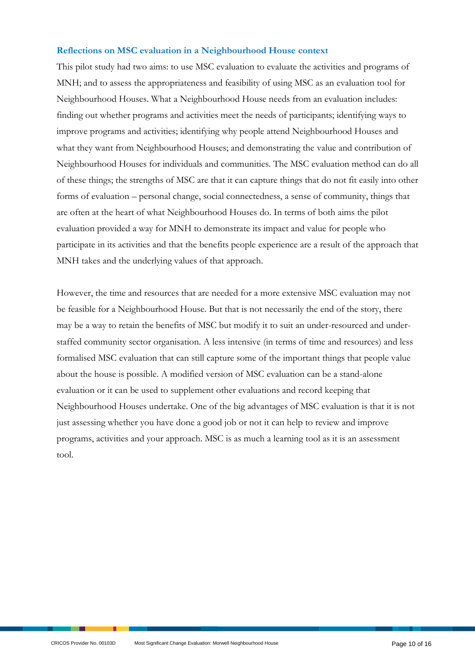#### **Reflections on MSC evaluation in a Neighbourhood House context**

This pilot study had two aims: to use MSC evaluation to evaluate the activities and programs of MNH; and to assess the appropriateness and feasibility of using MSC as an evaluation tool for Neighbourhood Houses. What a Neighbourhood House needs from an evaluation includes: finding out whether programs and activities meet the needs of participants; identifying ways to improve programs and activities; identifying why people attend Neighbourhood Houses and what they want from Neighbourhood Houses; and demonstrating the value and contribution of Neighbourhood Houses for individuals and communities. The MSC evaluation method can do all of these things; the strengths of MSC are that it can capture things that do not fit easily into other forms of evaluation – personal change, social connectedness, a sense of community, things that are often at the heart of what Neighbourhood Houses do. In terms of both aims the pilot evaluation provided a way for MNH to demonstrate its impact and value for people who participate in its activities and that the benefits people experience are a result of the approach that MNH takes and the underlying values of that approach.

However, the time and resources that are needed for a more extensive MSC evaluation may not be feasible for a Neighbourhood House. But that is not necessarily the end of the story, there may be a way to retain the benefits of MSC but modify it to suit an under-resourced and understaffed community sector organisation. A less intensive (in terms of time and resources) and less formalised MSC evaluation that can still capture some of the important things that people value about the house is possible. A modified version of MSC evaluation can be a stand-alone evaluation or it can be used to supplement other evaluations and record keeping that Neighbourhood Houses undertake. One of the big advantages of MSC evaluation is that it is not just assessing whether you have done a good job or not it can help to review and improve programs, activities and your approach. MSC is as much a learning tool as it is an assessment tool.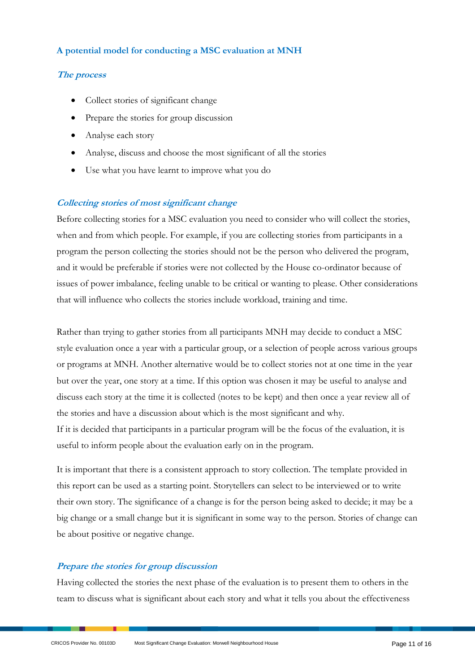## **A potential model for conducting a MSC evaluation at MNH**

# **The process**

- Collect stories of significant change
- Prepare the stories for group discussion
- Analyse each story
- Analyse, discuss and choose the most significant of all the stories
- Use what you have learnt to improve what you do

#### **Collecting stories of most significant change**

Before collecting stories for a MSC evaluation you need to consider who will collect the stories, when and from which people. For example, if you are collecting stories from participants in a program the person collecting the stories should not be the person who delivered the program, and it would be preferable if stories were not collected by the House co-ordinator because of issues of power imbalance, feeling unable to be critical or wanting to please. Other considerations that will influence who collects the stories include workload, training and time.

Rather than trying to gather stories from all participants MNH may decide to conduct a MSC style evaluation once a year with a particular group, or a selection of people across various groups or programs at MNH. Another alternative would be to collect stories not at one time in the year but over the year, one story at a time. If this option was chosen it may be useful to analyse and discuss each story at the time it is collected (notes to be kept) and then once a year review all of the stories and have a discussion about which is the most significant and why. If it is decided that participants in a particular program will be the focus of the evaluation, it is useful to inform people about the evaluation early on in the program.

It is important that there is a consistent approach to story collection. The template provided in this report can be used as a starting point. Storytellers can select to be interviewed or to write their own story. The significance of a change is for the person being asked to decide; it may be a big change or a small change but it is significant in some way to the person. Stories of change can be about positive or negative change.

# **Prepare the stories for group discussion**

Having collected the stories the next phase of the evaluation is to present them to others in the team to discuss what is significant about each story and what it tells you about the effectiveness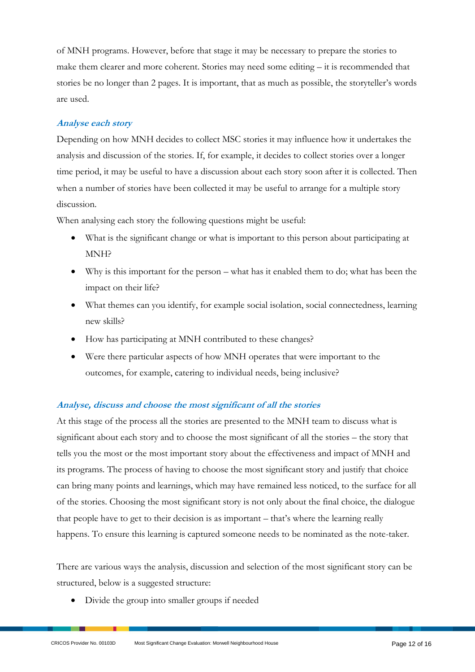of MNH programs. However, before that stage it may be necessary to prepare the stories to make them clearer and more coherent. Stories may need some editing – it is recommended that stories be no longer than 2 pages. It is important, that as much as possible, the storyteller's words are used.

## **Analyse each story**

Depending on how MNH decides to collect MSC stories it may influence how it undertakes the analysis and discussion of the stories. If, for example, it decides to collect stories over a longer time period, it may be useful to have a discussion about each story soon after it is collected. Then when a number of stories have been collected it may be useful to arrange for a multiple story discussion.

When analysing each story the following questions might be useful:

- What is the significant change or what is important to this person about participating at MNH?
- Why is this important for the person what has it enabled them to do; what has been the impact on their life?
- What themes can you identify, for example social isolation, social connectedness, learning new skills?
- How has participating at MNH contributed to these changes?
- Were there particular aspects of how MNH operates that were important to the outcomes, for example, catering to individual needs, being inclusive?

# **Analyse, discuss and choose the most significant of all the stories**

At this stage of the process all the stories are presented to the MNH team to discuss what is significant about each story and to choose the most significant of all the stories – the story that tells you the most or the most important story about the effectiveness and impact of MNH and its programs. The process of having to choose the most significant story and justify that choice can bring many points and learnings, which may have remained less noticed, to the surface for all of the stories. Choosing the most significant story is not only about the final choice, the dialogue that people have to get to their decision is as important – that's where the learning really happens. To ensure this learning is captured someone needs to be nominated as the note-taker.

There are various ways the analysis, discussion and selection of the most significant story can be structured, below is a suggested structure:

Divide the group into smaller groups if needed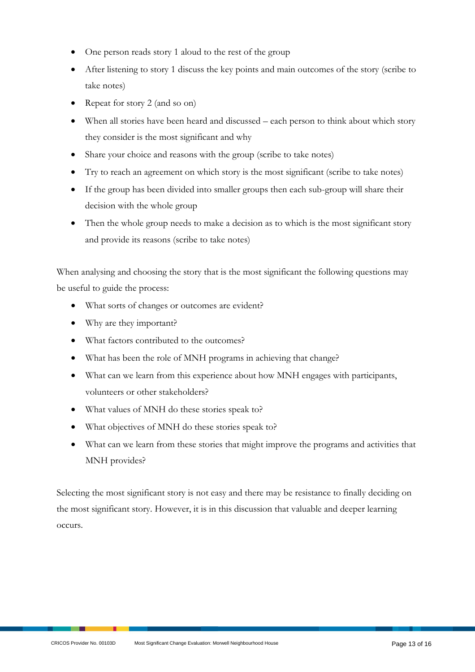- One person reads story 1 aloud to the rest of the group
- After listening to story 1 discuss the key points and main outcomes of the story (scribe to take notes)
- Repeat for story 2 (and so on)
- When all stories have been heard and discussed each person to think about which story they consider is the most significant and why
- Share your choice and reasons with the group (scribe to take notes)
- Try to reach an agreement on which story is the most significant (scribe to take notes)
- If the group has been divided into smaller groups then each sub-group will share their decision with the whole group
- Then the whole group needs to make a decision as to which is the most significant story and provide its reasons (scribe to take notes)

When analysing and choosing the story that is the most significant the following questions may be useful to guide the process:

- What sorts of changes or outcomes are evident?
- Why are they important?
- What factors contributed to the outcomes?
- What has been the role of MNH programs in achieving that change?
- What can we learn from this experience about how MNH engages with participants, volunteers or other stakeholders?
- What values of MNH do these stories speak to?
- What objectives of MNH do these stories speak to?
- What can we learn from these stories that might improve the programs and activities that MNH provides?

Selecting the most significant story is not easy and there may be resistance to finally deciding on the most significant story. However, it is in this discussion that valuable and deeper learning occurs.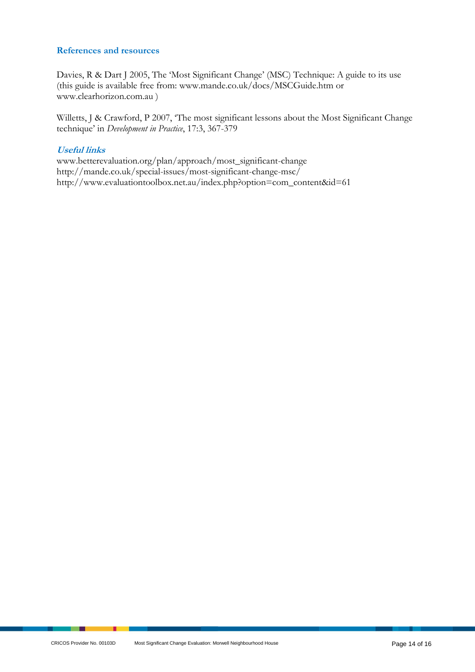#### **References and resources**

Davies, R & Dart J 2005, The 'Most Significant Change' (MSC) Technique: A guide to its use (this guide is available free from: [www.mande.co.uk/docs/MSCGuide.htm](http://www.mande.co.uk/docs/MSCGuide.htm) or [www.clearhorizon.com.au](http://www.clearhorizon.com.au/) )

Willetts, J & Crawford, P 2007, 'The most significant lessons about the Most Significant Change technique' in *Development in Practice*, 17:3, 367-379

#### **Useful links**

[www.betterevaluation.org/plan/approach/most\\_significant-change](http://www.betterevaluation.org/plan/approach/most_significant-change) [http://mande.co.uk/special-issues/most-significant-change-msc/](http://mande.co.uk/special-issues/most-significant-change-msc) [http://www.evaluationtoolbox.net.au/index.php?option=com\\_content&id=61](http://www.evaluationtoolbox.net.au/index.php?option=com_content&id=61)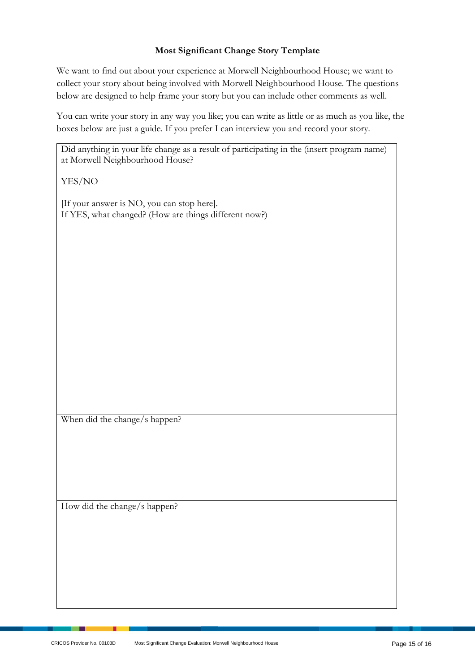# **Most Significant Change Story Template**

We want to find out about your experience at Morwell Neighbourhood House; we want to collect your story about being involved with Morwell Neighbourhood House. The questions below are designed to help frame your story but you can include other comments as well.

You can write your story in any way you like; you can write as little or as much as you like, the boxes below are just a guide. If you prefer I can interview you and record your story.

Did anything in your life change as a result of participating in the (insert program name) at Morwell Neighbourhood House?

YES/NO

[If your answer is NO, you can stop here]. If YES, what changed? (How are things different now?)

When did the change/s happen?

How did the change/s happen?